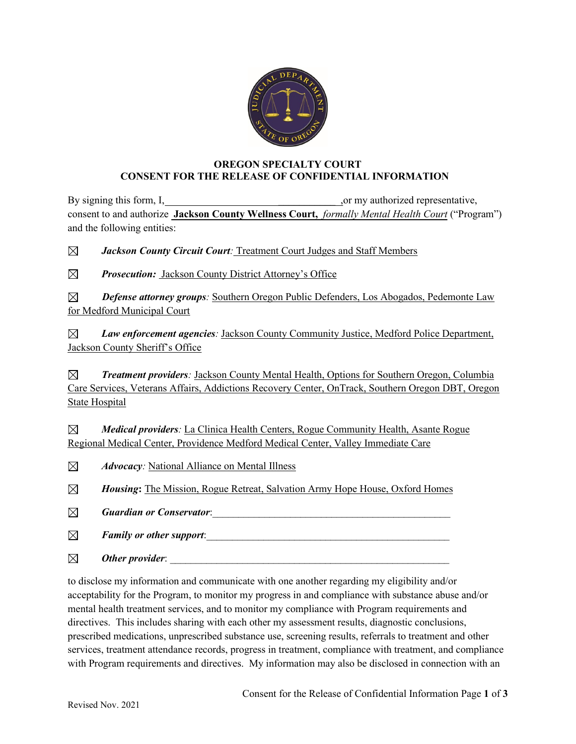

## **OREGON SPECIALTY COURT CONSENT FOR THE RELEASE OF CONFIDENTIAL INFORMATION**

By signing this form, I, \_\_\_\_\_\_\_\_\_\_\_ ,or my authorized representative, consent to and authorize **Jackson County Wellness Court,** *formally Mental Health Court* ("Program") and the following entities:

⊠ *Jackson County Circuit Court:* Treatment Court Judges and Staff Members

 $\boxtimes$ *Prosecution:* Jackson County District Attorney's Office

 *Defense attorney groups:* Southern Oregon Public Defenders, Los Abogados, Pedemonte Law for Medford Municipal Court

*Law enforcement agencies:* Jackson County Community Justice, Medford Police Department,  $\boxtimes$ Jackson County Sheriff's Office

 $\boxtimes$ *Treatment providers:* Jackson County Mental Health, Options for Southern Oregon, Columbia Care Services, Veterans Affairs, Addictions Recovery Center, OnTrack, Southern Oregon DBT, Oregon State Hospital

 $\boxtimes$ *Medical providers:* La Clinica Health Centers, Rogue Community Health, Asante Rogue Regional Medical Center, Providence Medford Medical Center, Valley Immediate Care

 $\boxtimes$ *Advocacy:* National Alliance on Mental Illness

⊠ *Housing***:** The Mission, Rogue Retreat, Salvation Army Hope House, Oxford Homes

 $\boxtimes$ **Guardian or Conservator:** The constant of the constant of the constant of the constant of the constant of the constant of the constant of the constant of the constant of the constant of the constant of the constant of the

 $\boxtimes$ *Family or other support:* 

 $\boxtimes$ *Other provider*:

to disclose my information and communicate with one another regarding my eligibility and/or acceptability for the Program, to monitor my progress in and compliance with substance abuse and/or mental health treatment services, and to monitor my compliance with Program requirements and directives. This includes sharing with each other my assessment results, diagnostic conclusions, prescribed medications, unprescribed substance use, screening results, referrals to treatment and other services, treatment attendance records, progress in treatment, compliance with treatment, and compliance with Program requirements and directives. My information may also be disclosed in connection with an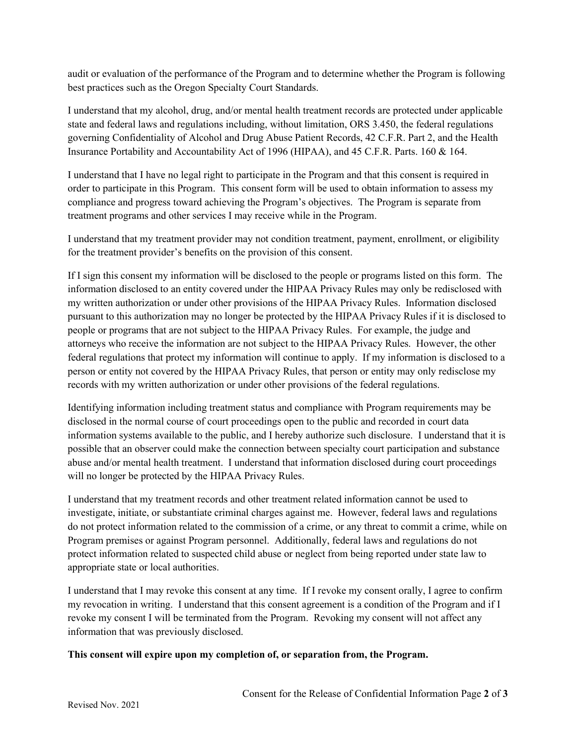audit or evaluation of the performance of the Program and to determine whether the Program is following best practices such as the Oregon Specialty Court Standards.

I understand that my alcohol, drug, and/or mental health treatment records are protected under applicable state and federal laws and regulations including, without limitation, ORS 3.450, the federal regulations governing Confidentiality of Alcohol and Drug Abuse Patient Records, 42 C.F.R. Part 2, and the Health Insurance Portability and Accountability Act of 1996 (HIPAA), and 45 C.F.R. Parts. 160 & 164.

I understand that I have no legal right to participate in the Program and that this consent is required in order to participate in this Program. This consent form will be used to obtain information to assess my compliance and progress toward achieving the Program's objectives. The Program is separate from treatment programs and other services I may receive while in the Program.

I understand that my treatment provider may not condition treatment, payment, enrollment, or eligibility for the treatment provider's benefits on the provision of this consent.

If I sign this consent my information will be disclosed to the people or programs listed on this form. The information disclosed to an entity covered under the HIPAA Privacy Rules may only be redisclosed with my written authorization or under other provisions of the HIPAA Privacy Rules. Information disclosed pursuant to this authorization may no longer be protected by the HIPAA Privacy Rules if it is disclosed to people or programs that are not subject to the HIPAA Privacy Rules. For example, the judge and attorneys who receive the information are not subject to the HIPAA Privacy Rules. However, the other federal regulations that protect my information will continue to apply. If my information is disclosed to a person or entity not covered by the HIPAA Privacy Rules, that person or entity may only redisclose my records with my written authorization or under other provisions of the federal regulations.

Identifying information including treatment status and compliance with Program requirements may be disclosed in the normal course of court proceedings open to the public and recorded in court data information systems available to the public, and I hereby authorize such disclosure. I understand that it is possible that an observer could make the connection between specialty court participation and substance abuse and/or mental health treatment. I understand that information disclosed during court proceedings will no longer be protected by the HIPAA Privacy Rules.

I understand that my treatment records and other treatment related information cannot be used to investigate, initiate, or substantiate criminal charges against me. However, federal laws and regulations do not protect information related to the commission of a crime, or any threat to commit a crime, while on Program premises or against Program personnel. Additionally, federal laws and regulations do not protect information related to suspected child abuse or neglect from being reported under state law to appropriate state or local authorities.

I understand that I may revoke this consent at any time. If I revoke my consent orally, I agree to confirm my revocation in writing. I understand that this consent agreement is a condition of the Program and if I revoke my consent I will be terminated from the Program. Revoking my consent will not affect any information that was previously disclosed.

## **This consent will expire upon my completion of, or separation from, the Program.**